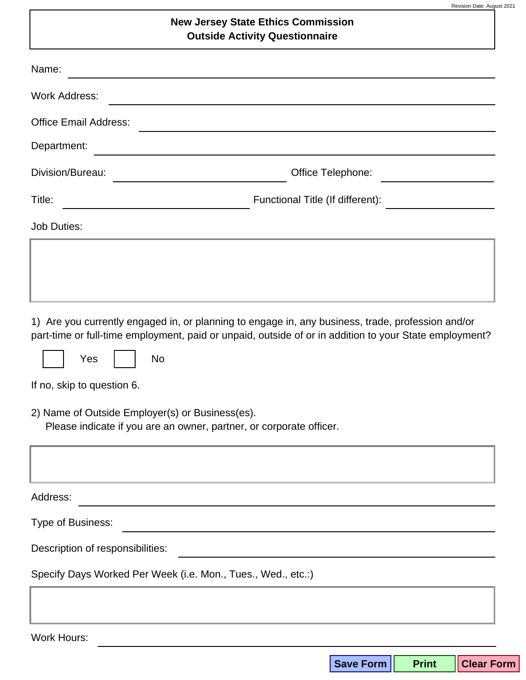## **New Jersey State Ethics Commission Outside Activity Questionnaire**

| Name:                                                                                                                  |                                                                                                                                                                                                             |
|------------------------------------------------------------------------------------------------------------------------|-------------------------------------------------------------------------------------------------------------------------------------------------------------------------------------------------------------|
| <b>Work Address:</b>                                                                                                   |                                                                                                                                                                                                             |
| <b>Office Email Address:</b>                                                                                           |                                                                                                                                                                                                             |
| Department:                                                                                                            |                                                                                                                                                                                                             |
| Division/Bureau:<br><u> 1990 - Johann Barbara, martin a</u>                                                            | Office Telephone:<br><u>and the state of the state of the state</u>                                                                                                                                         |
| Title:                                                                                                                 | Functional Title (If different):                                                                                                                                                                            |
| <b>Job Duties:</b>                                                                                                     |                                                                                                                                                                                                             |
|                                                                                                                        |                                                                                                                                                                                                             |
|                                                                                                                        |                                                                                                                                                                                                             |
|                                                                                                                        |                                                                                                                                                                                                             |
| Yes<br>No                                                                                                              | 1) Are you currently engaged in, or planning to engage in, any business, trade, profession and/or<br>part-time or full-time employment, paid or unpaid, outside of or in addition to your State employment? |
| If no, skip to question 6.                                                                                             |                                                                                                                                                                                                             |
| 2) Name of Outside Employer(s) or Business(es).<br>Please indicate if you are an owner, partner, or corporate officer. |                                                                                                                                                                                                             |
|                                                                                                                        |                                                                                                                                                                                                             |
| Address:                                                                                                               |                                                                                                                                                                                                             |
| Type of Business:                                                                                                      |                                                                                                                                                                                                             |
| Description of responsibilities:                                                                                       |                                                                                                                                                                                                             |
| Specify Days Worked Per Week (i.e. Mon., Tues., Wed., etc.:)                                                           |                                                                                                                                                                                                             |
|                                                                                                                        |                                                                                                                                                                                                             |
| <b>Work Hours:</b>                                                                                                     |                                                                                                                                                                                                             |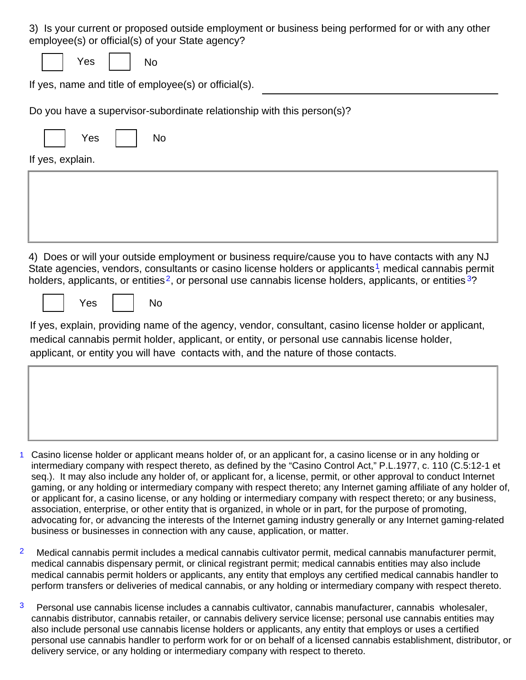3) Is your current or proposed outside employment or business being performed for or with any other employee(s) or official(s) of your State agency?

Yes

**No** 

If yes, name and title of employee(s) or official(s).

Do you have a supervisor-subordinate relationship with this person(s)?

| Yes | N٥ |
|-----|----|
|     |    |

If yes, explain.

4) Does or will your outside employment or business require/cause you to have contacts with any NJ State agencies, vendors, consultants or casino license holders or applicants<sup>1</sup>, medical cannabis permit holders, applicants, or entities<sup>2</sup>, or personal use cannabis license holders, applicants, or entities<sup>3</sup>?

Yes

**No** 

If yes, explain, providing name of the agency, vendor, consultant, casino license holder or applicant, medical cannabis permit holder, applicant, or entity, or personal use cannabis license holder, applicant, or entity you will have contacts with, and the nature of those contacts.

- 1 Casino license holder or applicant means holder of, or an applicant for, a casino license or in any holding or intermediary company with respect thereto, as defined by the "Casino Control Act," P.L.1977, c. 110 (C.5:12-1 et seq.). It may also include any holder of, or applicant for, a license, permit, or other approval to conduct Internet gaming, or any holding or intermediary company with respect thereto; any Internet gaming affiliate of any holder of, or applicant for, a casino license, or any holding or intermediary company with respect thereto; or any business, association, enterprise, or other entity that is organized, in whole or in part, for the purpose of promoting, advocating for, or advancing the interests of the Internet gaming industry generally or any Internet gaming-related business or businesses in connection with any cause, application, or matter.
- $\overline{2}$ Medical cannabis permit includes a medical cannabis cultivator permit, medical cannabis manufacturer permit, medical cannabis dispensary permit, or clinical registrant permit; medical cannabis entities may also include medical cannabis permit holders or applicants, any entity that employs any certified medical cannabis handler to perform transfers or deliveries of medical cannabis, or any holding or intermediary company with respect thereto.
- 3 Personal use cannabis license includes a cannabis cultivator, cannabis manufacturer, cannabis wholesaler, cannabis distributor, cannabis retailer, or cannabis delivery service license; personal use cannabis entities may also include personal use cannabis license holders or applicants, any entity that employs or uses a certified personal use cannabis handler to perform work for or on behalf of a licensed cannabis establishment, distributor, or delivery service, or any holding or intermediary company with respect to thereto.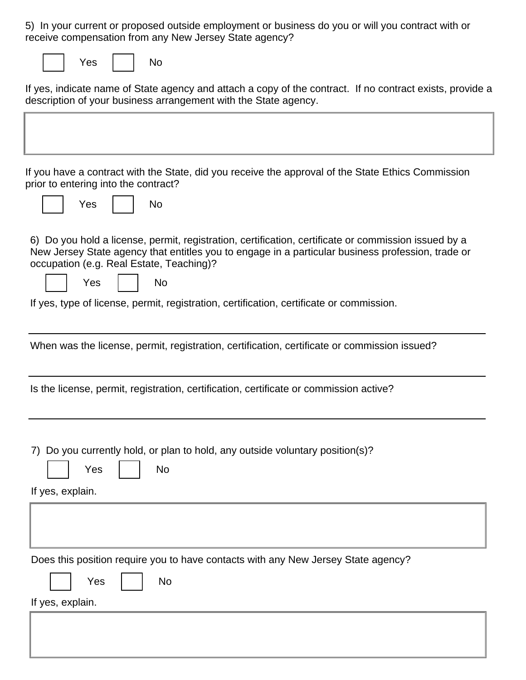5) In your current or proposed outside employment or business do you or will you contract with or receive compensation from any New Jersey State agency?

| es<br>v |  |
|---------|--|
|---------|--|

**No** 

If yes, indicate name of State agency and attach a copy of the contract. If no contract exists, provide a description of your business arrangement with the State agency.

If you have a contract with the State, did you receive the approval of the State Ethics Commission prior to entering into the contract?

|  | Yes |  | No |
|--|-----|--|----|
|--|-----|--|----|

6) Do you hold a license, permit, registration, certification, certificate or commission issued by a New Jersey State agency that entitles you to engage in a particular business profession, trade or occupation (e.g. Real Estate, Teaching)?

| <b>Yes</b> |  | No |
|------------|--|----|
|------------|--|----|

If yes, type of license, permit, registration, certification, certificate or commission.

| When was the license, permit, registration, certification, certificate or commission issued? |  |  |
|----------------------------------------------------------------------------------------------|--|--|
|                                                                                              |  |  |

Is the license, permit, registration, certification, certificate or commission active?

7) Do you currently hold, or plan to hold, any outside voluntary position(s)?

 $No$ 

| If yes, explain. |
|------------------|

Yes

| Does this position require you to have contacts with any New Jersey State agency? |
|-----------------------------------------------------------------------------------|
| Yes  <br><b>No</b>                                                                |
| If yes, explain.                                                                  |
|                                                                                   |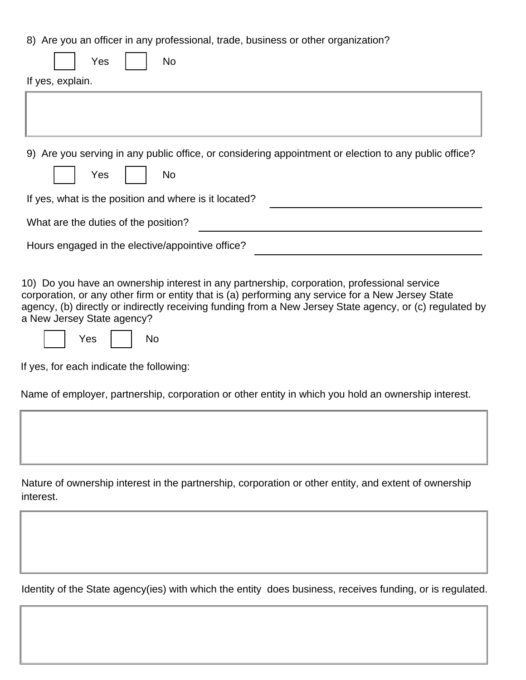8) Are you an officer in any professional, trade, business or other organization?

| Yes<br>No                                                                                             |  |  |
|-------------------------------------------------------------------------------------------------------|--|--|
| If yes, explain.                                                                                      |  |  |
|                                                                                                       |  |  |
|                                                                                                       |  |  |
|                                                                                                       |  |  |
| 9) Are you serving in any public office, or considering appointment or election to any public office? |  |  |
| Yes<br><b>No</b>                                                                                      |  |  |
| If yes, what is the position and where is it located?                                                 |  |  |
| What are the duties of the position?                                                                  |  |  |
| Hours engaged in the elective/appointive office?                                                      |  |  |

10) Do you have an ownership interest in any partnership, corporation, professional service corporation, or any other firm or entity that is (a) performing any service for a New Jersey State agency, (b) directly or indirectly receiving funding from a New Jersey State agency, or (c) regulated by a New Jersey State agency?

|  | <b>Yes</b> |  | No |
|--|------------|--|----|
|--|------------|--|----|

If yes, for each indicate the following:

Name of employer, partnership, corporation or other entity in which you hold an ownership interest.

Nature of ownership interest in the partnership, corporation or other entity, and extent of ownership interest.

Identity of the State agency(ies) with which the entity does business, receives funding, or is regulated.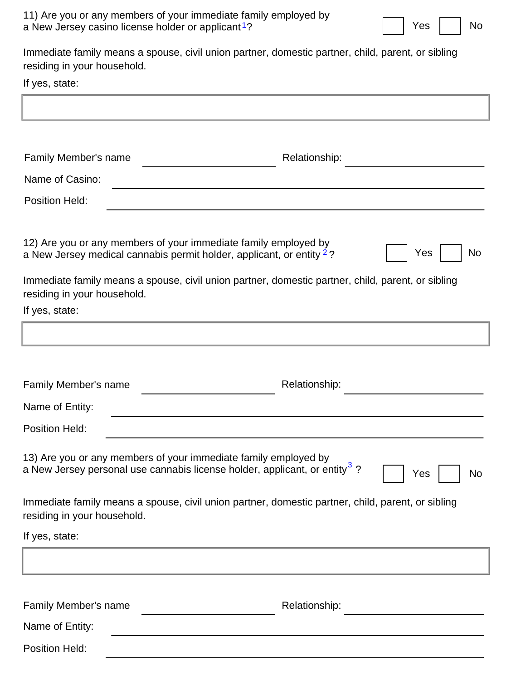| 11) Are you or any members of your immediate family employed by |  |  |
|-----------------------------------------------------------------|--|--|
| a New Jersey casino license holder or applicant <sup>1</sup> ?  |  |  |

**No** 

Yes

Immediate family means a spouse, civil union partner, domestic partner, child, parent, or sibling residing in your household.

If yes, state:

| Family Member's name                                                                                                                                      | Relationship:                                                                                     |
|-----------------------------------------------------------------------------------------------------------------------------------------------------------|---------------------------------------------------------------------------------------------------|
| Name of Casino:                                                                                                                                           |                                                                                                   |
| <b>Position Held:</b>                                                                                                                                     |                                                                                                   |
| 12) Are you or any members of your immediate family employed by<br>a New Jersey medical cannabis permit holder, applicant, or entity <sup>2</sup> ?       | <b>No</b><br>Yes                                                                                  |
| residing in your household.                                                                                                                               | Immediate family means a spouse, civil union partner, domestic partner, child, parent, or sibling |
| If yes, state:                                                                                                                                            |                                                                                                   |
|                                                                                                                                                           |                                                                                                   |
|                                                                                                                                                           |                                                                                                   |
| Family Member's name                                                                                                                                      | Relationship:                                                                                     |
| Name of Entity:                                                                                                                                           |                                                                                                   |
| <b>Position Held:</b>                                                                                                                                     |                                                                                                   |
| 13) Are you or any members of your immediate family employed by<br>a New Jersey personal use cannabis license holder, applicant, or entity <sup>3</sup> ? | Yes<br>No                                                                                         |
| residing in your household.                                                                                                                               | Immediate family means a spouse, civil union partner, domestic partner, child, parent, or sibling |
| If yes, state:                                                                                                                                            |                                                                                                   |
|                                                                                                                                                           |                                                                                                   |
| Family Member's name                                                                                                                                      | Relationship:                                                                                     |
| Name of Entity:                                                                                                                                           |                                                                                                   |
| Position Held:                                                                                                                                            |                                                                                                   |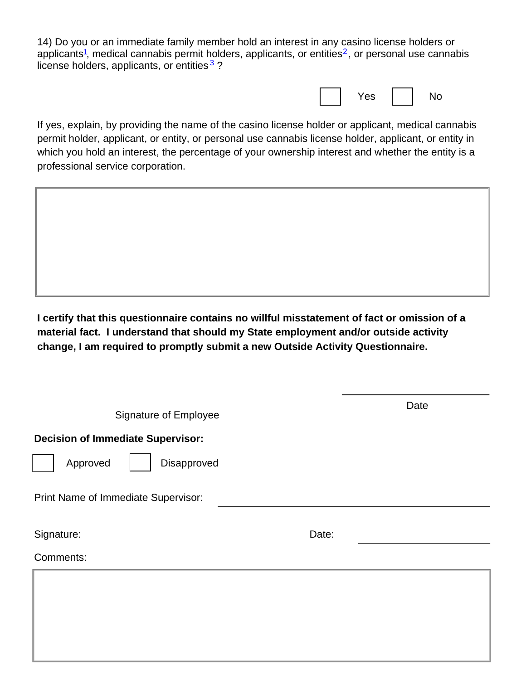14) Do you or an immediate family member hold an interest in any casino license holders or applicants<sup>1</sup>, medical cannabis permit holders, applicants, or entities<sup>2</sup>, or personal use cannabis license holders, applicants, or entities  $3$  ?

|  | res d' |  |  |
|--|--------|--|--|
|--|--------|--|--|

If yes, explain, by providing the name of the casino license holder or applicant, medical cannabis permit holder, applicant, or entity, or personal use cannabis license holder, applicant, or entity in which you hold an interest, the percentage of your ownership interest and whether the entity is a professional service corporation.

I certify that this questionnaire contains no willful misstatement of fact or omission of a material fact. I understand that should my State employment and/or outside activity change, I am required to promptly submit a new Outside Activity Questionnaire.

| <b>Signature of Employee</b>             |       | Date |  |  |  |
|------------------------------------------|-------|------|--|--|--|
| <b>Decision of Immediate Supervisor:</b> |       |      |  |  |  |
| Approved<br>Disapproved                  |       |      |  |  |  |
| Print Name of Immediate Supervisor:      |       |      |  |  |  |
| Signature:                               | Date: |      |  |  |  |
| Comments:                                |       |      |  |  |  |
|                                          |       |      |  |  |  |
|                                          |       |      |  |  |  |
|                                          |       |      |  |  |  |
|                                          |       |      |  |  |  |